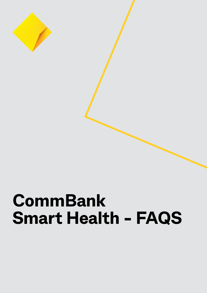

# **CommBank Smart Health - FAQS**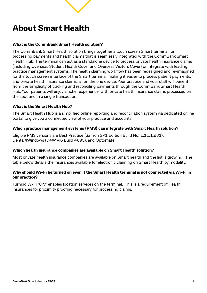### **About Smart Health**

#### **What is the CommBank Smart Health solution?**

The CommBank Smart Health solution brings together a touch screen Smart terminal for processing payments and health claims that is seamlessly integrated with the CommBank Smart Health Hub. The terminal can act as a standalone device to process private health insurance claims (including Overseas Student Health Cover and Overseas Visitors Cover) or integrate with leading practice management systems. The health claiming workflow has been redesigned and re-imagined for the touch screen interface of the Smart terminal, making it easier to process patient payments, and private health insurance claims, all on the one device. Your practice and your staff will benefit from the simplicity of tracking and reconciling payments through the CommBank Smart Health Hub. Your patients will enjoy a richer experience, with private health insurance claims processed on the spot and in a single transaction.

#### **What is the Smart Health Hub?**

The Smart Health Hub is a simplified online reporting and reconciliation system via dedicated online portal to give you a connected view of your practice and accounts.

#### **Which practice management systems (PMS) can integrate with Smart Health solution?**

Eligible PMS versions are Best Practice (Saffron SP1 Edition Build No: 1.11.1.931), Dental4Windows (D4W Vi6 Build 4695), and Optomate.

#### **Which health insurance companies are available on Smart Health solution?**

Most private health insurance companies are available on Smart health and the list is growing. The table below details the insurances available for electronic claiming on Smart Health by modality.

#### **Why should Wi-Fi be turned on even if the Smart Health terminal is not connected via Wi-Fi in our practice?**

Turning W-Fi "ON" enables location services on the terminal. This is a requirement of Health Insurances for proximity proofing necessary for processing claims.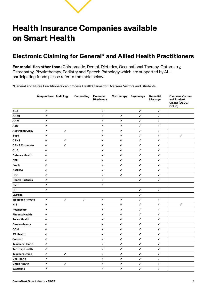### **Health Insurance Companies available on Smart Health**

### **Electronic Claiming for General\* and Allied Health Practitioners**

**For modalities other than:** Chiropractic, Dental, Dietetics, Occupational Therapy, Optometry, Osteopathy, Physiotherapy, Podiatry and Speech Pathology which are supported by ALL participating funds please refer to the table below.

\*General and Nurse Practitioners can process HealthClaims for Overseas Visitors and Students.

|                         | <b>Acupuncture Audiology</b> |              | <b>Counselling</b> | <b>Excercise</b><br>Physiology | <b>Myotherapy</b> | Psychology   | <b>Remedial</b><br><b>Massage</b> | <b>Overseas Visitors</b><br>and Student<br>Claims (OSVC/<br>OSHC) |
|-------------------------|------------------------------|--------------|--------------------|--------------------------------|-------------------|--------------|-----------------------------------|-------------------------------------------------------------------|
| <b>ACA</b>              | ✓                            |              |                    | ✓                              |                   | ✓            | ✓                                 |                                                                   |
| <b>AAMI</b>             | ✓                            |              |                    | ✓                              | ✓                 | ✓            | ✓                                 |                                                                   |
| <b>AHM</b>              | $\checkmark$                 |              |                    | ✓                              | ✓                 | $\checkmark$ | ✓                                 |                                                                   |
| Apia                    | $\checkmark$                 |              |                    | √                              | $\checkmark$      | $\checkmark$ | $\checkmark$                      |                                                                   |
| <b>Australian Unity</b> | √                            | ✓            |                    | ✓                              | ✓                 | √            | ✓                                 |                                                                   |
| <b>Bupa</b>             | √                            |              |                    | ✓                              | ✓                 | ✓            | ✓                                 | ✓                                                                 |
| <b>CBHS</b>             | ✓                            | ✓            |                    | ✓                              | ✓                 | $\checkmark$ | ✓                                 |                                                                   |
| <b>CBHS Corporate</b>   | ✓                            | $\checkmark$ |                    | √                              | ✓                 | ✓            | ✓                                 |                                                                   |
| <b>CUA</b>              | $\checkmark$                 |              |                    | ✓                              | ✓                 | $\checkmark$ | ✓                                 |                                                                   |
| <b>Defence Health</b>   | ✓                            |              |                    | ✓                              | ✓                 | ✓            | ✓                                 |                                                                   |
| <b>ESH</b>              | $\checkmark$                 |              |                    | √                              | $\checkmark$      | $\checkmark$ | $\checkmark$                      |                                                                   |
| <b>Frank</b>            | ✓                            |              |                    | ✓                              | ✓                 | ✓            | ✓                                 |                                                                   |
| <b>GMHBA</b>            | ✓                            |              |                    | √                              | ✓                 | $\checkmark$ | ✓                                 |                                                                   |
| <b>HBF</b>              | $\checkmark$                 |              |                    | ✓                              | $\checkmark$      | $\checkmark$ | ✓                                 |                                                                   |
| <b>Health Partners</b>  | $\checkmark$                 |              |                    | ✔                              |                   | $\checkmark$ | ✓                                 |                                                                   |
| <b>HCF</b>              | √                            |              |                    | ✓                              |                   |              |                                   |                                                                   |
| <b>HIF</b>              | ✓                            |              |                    |                                |                   | $\checkmark$ | ✓                                 |                                                                   |
| Latrobe                 |                              |              |                    |                                |                   | ✓            |                                   |                                                                   |
| <b>Medibank Private</b> | ✓                            | ✓            | ✓                  | √                              | ✓                 | $\checkmark$ | ✓                                 |                                                                   |
| <b>NIB</b>              | √                            |              |                    | ✓                              | ✓                 | $\checkmark$ | ✓                                 | ✓                                                                 |
| Peoplecare              | ✓                            |              |                    | $\checkmark$                   | ✓                 | ✓            | ✓                                 |                                                                   |
| <b>Phoenix Health</b>   | ✓                            |              |                    | √                              | ✓                 | √            | ✓                                 |                                                                   |
| <b>Police Health</b>    | $\checkmark$                 |              |                    | ✓                              | ✓                 | $\checkmark$ | ✓                                 |                                                                   |
| <b>Qantas Assure</b>    | $\checkmark$                 |              |                    | ✓                              | ✓                 | ✓            | ✓                                 |                                                                   |
| QCH                     | ✓                            |              |                    | ✔                              | ✓                 | ✓            | ✓                                 |                                                                   |
| <b>RT</b> Health        | $\checkmark$                 |              |                    | ✓                              | ✓                 | ✓            | ✓                                 |                                                                   |
| <b>Suncorp</b>          | ✓                            |              |                    | ✓                              | ✓                 | ✓            | ✓                                 |                                                                   |
| <b>Teachers Health</b>  | $\checkmark$                 |              |                    | ✓                              | $\checkmark$      | ✓            | ✓                                 |                                                                   |
| <b>Territory Health</b> | ✓                            |              |                    | ✓                              | ✓                 | ✓            | ✓                                 |                                                                   |
| <b>Teachers Union</b>   | $\checkmark$                 | ✓            |                    | √                              | $\checkmark$      | $\checkmark$ | $\checkmark$                      |                                                                   |
| <b>Uni Health</b>       | $\checkmark$                 |              |                    | ✓                              | $\checkmark$      | $\checkmark$ | $\checkmark$                      |                                                                   |
| <b>Union Health</b>     | √                            | ✓            |                    | √                              | ✓                 | √            | ✓                                 |                                                                   |
| Westfund                | ✓                            |              |                    | ✓                              | $\checkmark$      | ✓            | ✓                                 |                                                                   |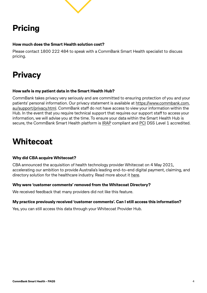## **Pricing**

#### **How much does the Smart Health solution cost?**

Please contact 1800 222 484 to speak with a CommBank Smart Health specialist to discuss pricing.

### **Privacy**

#### **How safe is my patient data in the Smart Health Hub?**

CommBank takes privacy very seriously and are committed to ensuring protection of you and your patients' personal information. Our privacy statement is available at [https://www.commbank.com.](https://aus01.safelinks.protection.outlook.com/?url=https%3A%2F%2Fwww.commbank.com.au%2Fsupport%2Fprivacy.html&data=04%7C01%7CDivya.Ramachandran%40cba.com.au%7Cdb8d9e85ed94499b70e608da19154f05%7Cdddffba06c174f3497483fa5e08cc366%7C0%7C0%7C637849876546445100%7CUnknown%7CTWFpbGZsb3d8eyJWIjoiMC4wLjAwMDAiLCJQIjoiV2luMzIiLCJBTiI6Ik1haWwiLCJXVCI6Mn0%3D%7C3000&sdata=TpI2vcOZT9aGQFGYD60bgSejy%2FJ5AiDfGkW4aVTn38M%3D&reserved=0) [au/support/privacy.html.](https://aus01.safelinks.protection.outlook.com/?url=https%3A%2F%2Fwww.commbank.com.au%2Fsupport%2Fprivacy.html&data=04%7C01%7CDivya.Ramachandran%40cba.com.au%7Cdb8d9e85ed94499b70e608da19154f05%7Cdddffba06c174f3497483fa5e08cc366%7C0%7C0%7C637849876546445100%7CUnknown%7CTWFpbGZsb3d8eyJWIjoiMC4wLjAwMDAiLCJQIjoiV2luMzIiLCJBTiI6Ik1haWwiLCJXVCI6Mn0%3D%7C3000&sdata=TpI2vcOZT9aGQFGYD60bgSejy%2FJ5AiDfGkW4aVTn38M%3D&reserved=0) CommBank staff do not have access to view your information within the Hub. In the event that you require technical support that requires our support staff to access your information, we will advise you at the time. To ensure your data within the Smart Health Hub is secure, the CommBank Smart Health platform is **IRAP** compliant and **[PCI](https://aus01.safelinks.protection.outlook.com/?url=https%3A%2F%2Fwww.pcisecuritystandards.org%2F&data=04%7C01%7CDivya.Ramachandran%40cba.com.au%7Cdb8d9e85ed94499b70e608da19154f05%7Cdddffba06c174f3497483fa5e08cc366%7C0%7C0%7C637849876546445100%7CUnknown%7CTWFpbGZsb3d8eyJWIjoiMC4wLjAwMDAiLCJQIjoiV2luMzIiLCJBTiI6Ik1haWwiLCJXVCI6Mn0%3D%7C3000&sdata=0Sse7eMkEkzBKAUPHm%2Bt9GjUn5d%2BHdwKeTSu%2FtWDkOM%3D&reserved=0) DSS** Level 1 accredited.

### **Whitecoat**

#### **Why did CBA acquire Whitecoat?**

CBA announced the acquisition of health technology provider Whitecoat on 4 May 2021, accelerating our ambition to provide Australia's leading end-to-end digital payment, claiming, and directory solution for the healthcare industry. Read more about it [here](https://www.commbank.com.au/articles/newsroom/2021/05/whitecoat-acquisition.html).

#### **Why were 'customer comments' removed from the Whitecoat Directory?**

We received feedback that many providers did not like this feature.

#### **My practice previously received 'customer comments'. Can I still access this information?**

Yes, you can still access this data through your Whitecoat Provider Hub.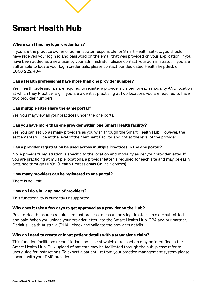### **Smart Health Hub**

#### **Where can I find my login credentials?**

If you are the practice owner or administrator responsible for Smart Health set-up, you should have received your login id and password on the email that was provided on your application. If you have been added as a new user by your administrator, please contact your administrator. If you are still unable to locate your login credentials, please contact our dedicated Health helpdesk on 1800 222 484

#### **Can a Health professional have more than one provider number?**

Yes. Health professionals are required to register a provider number for each modality AND location at which they Practice. E.g. if you are a dentist practising at two locations you are required to have two provider numbers.

#### **Can multiple sites share the same portal?**

Yes, you may view all your practices under the one portal.

#### **Can you have more than one provider within one Smart Health facility?**

Yes. You can set up as many providers as you wish through the Smart Health Hub. However, the settlements will be at the level of the Merchant Facility, and not at the level of the provider.

#### **Can a provider registration be used across multiple Practices in the one portal?**

No. A provider's registration is specific to the location and modality as per your provider letter. If you are practicing at multiple locations, a provider letter is required for each site and may be easily obtained through HPOS (Health Professionals Online Services).

#### **How many providers can be registered to one portal?**

There is no limit.

#### **How do I do a bulk upload of providers?**

This functionality is currently unsupported.

#### **Why does it take a few days to get approved as a provider on the Hub?**

Private Health Insurers require a robust process to ensure only legitimate claims are submitted and paid. When you upload your provider letter into the Smart Health Hub, CBA and our partner, Dedalus Health Australia (DHA), check and validate the providers details.

#### **Why do I need to create or input patient details with a standalone claim?**

This function facilitates reconciliation and ease at which a transaction may be identified in the Smart Health Hub. Bulk upload of patients may be facilitated through the hub, please refer to user guide for instructions. To export a patient list from your practice management system please consult with your PMS provider.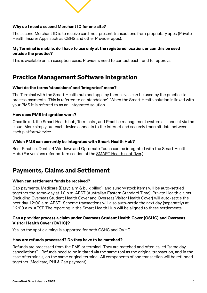

#### **Why do I need a second Merchant ID for one site?**

The second Merchant ID is to receive card-not-present transactions from proprietary apps (Private Health Insurer Apps such as CBHS and other Provider apps).

#### **My Terminal is mobile, do I have to use only at the registered location, or can this be used outside the practice?**

This is available on an exception basis. Providers need to contact each fund for approval.

#### **Practice Management Software Integration**

#### **What do the terms 'standalone' and 'integrated' mean?**

The Terminal with the Smart Health hub and apps by themselves can be used by the practice to process payments. This is referred to as 'standalone'. When the Smart Health solution is linked with your PMS it is referred to as an 'integrated solution

#### **How does PMS integration work?**

Once linked, the Smart Health hub, Terminal/s, and Practise management system all connect via the cloud. More simply put each device connects to the internet and securely transmit data between each platform/device.

#### **Which PMS can currently be integrated with Smart Health Hub?**

Best Practice, Dental 4 Windows and Optomate Touch can be integrated with the Smart Health Hub. (For versions refer bottom section of the **SMART** Health pilot flyer.)

#### **Payments, Claims and Settlement**

#### **When can settlement funds be received?**

Gap payments, Medicare (Easyclaim & bulk billed), and sundry/stock items will be auto-settled together the same-day at 10 p.m. AEST (Australian Eastern Standard Time). Private Health claims (including Overseas Student Health Cover and Overseas Visitor Health Cover) will auto-settle the next day 12:00 a.m. AEST. Scheme transactions will also auto-settle the next day (separately) at 12:00 a.m. AEST. The reporting in the Smart Health Hub will be aligned to these settlements.

#### **Can a provider process a claim under Overseas Student Health Cover (OSHC) and Overseas Visitor Health Cover (OVHC)?**

Yes, on the spot claiming is supported for both OSHC and OVHC.

#### **How are refunds processed? Do they have to be matched?**

Refunds are processed from the PMS or terminal. They are matched and often called "same day cancellations". Refunds need to be initiated via the same tool as the original transaction, and in the case of terminals, on the same original terminal. All components of one transaction will be refunded together (Medicare, PHI & Gap payment).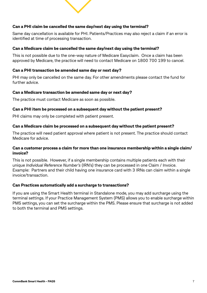

#### **Can a PHI claim be cancelled the same day/next day using the terminal?**

Same day cancellation is available for PHI. Patients/Practices may also reject a claim if an error is identified at time of processing transaction.

#### **Can a Medicare claim be cancelled the same day/next day using the terminal?**

This is not possible due to the one-way nature of Medicare Easyclaim. Once a claim has been approved by Medicare, the practice will need to contact Medicare on 1800 700 199 to cancel.

#### **Can a PHI transaction be amended same day or next day?**

PHI may only be cancelled on the same day. For other amendments please contact the fund for further advice.

#### **Can a Medicare transaction be amended same day or next day?**

The practice must contact Medicare as soon as possible.

#### **Can a PHI item be processed on a subsequent day without the patient present?**

PHI claims may only be completed with patient present.

#### **Can a Medicare claim be processed on a subsequent day without the patient present?**

The practice will need patient approval where patient is not present. The practice should contact Medicare for advice.

#### **Can a customer process a claim for more than one insurance membership within a single claim/ invoice?**

This is not possible. However, if a single membership contains multiple patients each with their unique *Individual Reference Number's* (IRN's) they can be processed in one Claim / Invoice. Example: Partners and their child having one insurance card with 3 IRNs can claim within a single invoice/transaction.

#### **Can Practices automatically add a surcharge to transactions?**

If you are using the Smart Health terminal in Standalone mode, you may add surcharge using the terminal settings. If your Practice Management System (PMS) allows you to enable surcharge within PMS settings, you can set the surcharge within the PMS. Please ensure that surcharge is not added to both the terminal and PMS settings.